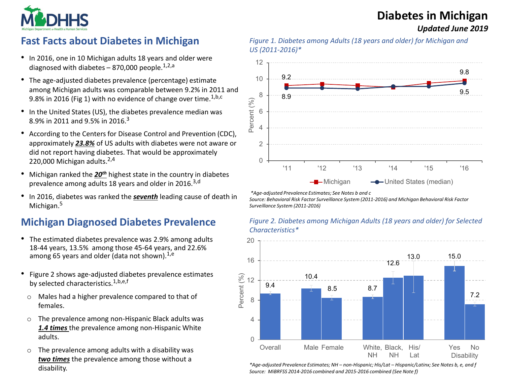# **Diabetes in Michigan**

*Updated June 2019*



## **Fast Facts about Diabetes in Michigan**

- In 2016, one in 10 Michigan adults 18 years and older were diagnosed with diabetes  $-$  870,000 people.<sup>1,2,a</sup>
- The age-adjusted diabetes prevalence (percentage) estimate among Michigan adults was comparable between 9.2% in 2011 and 9.8% in 2016 (Fig 1) with no evidence of change over time.<sup>1,b,c</sup>
- In the United States (US), the diabetes prevalence median was 8.9% in 2011 and 9.5% in 2016.3
- According to the Centers for Disease Control and Prevention (CDC), approximately *23.8%* of US adults with diabetes were not aware or did not report having diabetes. That would be approximately 220,000 Michigan adults. $2,4$
- Michigan ranked the *20th* highest state in the country in diabetes prevalence among adults 18 years and older in 2016.<sup>3,d</sup>
- In 2016, diabetes was ranked the *seventh* leading cause of death in Michigan.<sup>5</sup>

#### **Michigan Diagnosed Diabetes Prevalence**

- The estimated diabetes prevalence was 2.9% among adults 18-44 years, 13.5% among those 45-64 years, and 22.6% among 65 years and older (data not shown).  $^{1,e}$
- Figure 2 shows age-adjusted diabetes prevalence estimates by selected characteristics.<sup>1,b,e,f</sup>
	- o Males had a higher prevalence compared to that of females.
	- o The prevalence among non-Hispanic Black adults was *1.4 times* the prevalence among non-Hispanic White adults.
	- o The prevalence among adults with a disability was *two times* the prevalence among those without a disability.





*\*Age-adjusted Prevalence Estimates; See Notes b and c*

*Source: Behavioral Risk Factor Surveillance System (2011-2016) and Michigan Behavioral Risk Factor Surveillance System (2011-2016)*





*\*Age-adjusted Prevalence Estimates; NH – non-Hispanic; His/Lat – Hispanic/Latinx; See Notes b, e, and f Source: MiBRFSS 2014-2016 combined and 2015-2016 combined (See Note f)*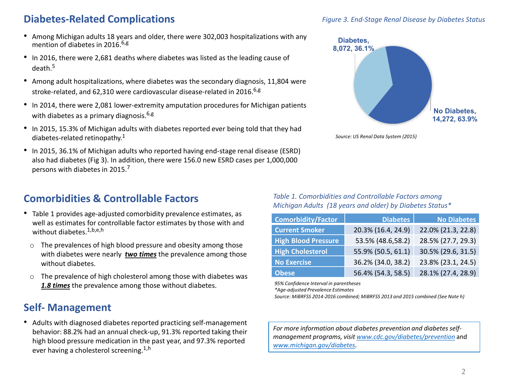### **Diabetes-Related Complications**

- Among Michigan adults 18 years and older, there were 302,003 hospitalizations with any mention of diabetes in 2016. $6,8$
- In 2016, there were 2,681 deaths where diabetes was listed as the leading cause of death.5
- Among adult hospitalizations, where diabetes was the secondary diagnosis, 11,804 were stroke-related, and 62,310 were cardiovascular disease-related in 2016. $6.8$
- In 2014, there were 2,081 lower-extremity amputation procedures for Michigan patients with diabetes as a primary diagnosis.  $6,8$
- In 2015, 15.3% of Michigan adults with diabetes reported ever being told that they had diabetes-related retinopathy. $1$
- In 2015, 36.1% of Michigan adults who reported having end-stage renal disease (ESRD) also had diabetes (Fig 3). In addition, there were 156.0 new ESRD cases per 1,000,000 persons with diabetes in 2015.7

## **Comorbidities & Controllable Factors**

- Table 1 provides age-adjusted comorbidity prevalence estimates, as well as estimates for controllable factor estimates by those with and without diabetes.<sup>1,b,e,h</sup>
	- o The prevalences of high blood pressure and obesity among those with diabetes were nearly *two times* the prevalence among those without diabetes.
	- o The prevalence of high cholesterol among those with diabetes was *1.8 times* the prevalence among those without diabetes.

## **Self- Management**

• Adults with diagnosed diabetes reported practicing self-management behavior: 88.2% had an annual check-up, 91.3% reported taking their high blood pressure medication in the past year, and 97.3% reported ever having a cholesterol screening.<sup>1,h</sup>



*Source: US Renal Data System (2015)*

*Table 1. Comorbidities and Controllable Factors among Michigan Adults (18 years and older) by Diabetes Status\**

| <b>Comorbidity/Factor</b>  | <b>Diabetes</b>    | <b>No Diabetes</b> |
|----------------------------|--------------------|--------------------|
| <b>Current Smoker</b>      | 20.3% (16.4, 24.9) | 22.0% (21.3, 22.8) |
| <b>High Blood Pressure</b> | 53.5% (48.6,58.2)  | 28.5% (27.7, 29.3) |
| <b>High Cholesterol</b>    | 55.9% (50.5, 61.1) | 30.5% (29.6, 31.5) |
| <b>No Exercise</b>         | 36.2% (34.0, 38.2) | 23.8% (23.1, 24.5) |
| <b>Obese</b>               | 56.4% (54.3, 58.5) | 28.1% (27.4, 28.9) |

*95% Confidence Interval in parentheses*

*\*Age-adjusted Prevalence Estimates* 

*Source: MiBRFSS 2014-2016 combined; MiBRFSS 2013 and 2015 combined (See Note h)*

*For more information about diabetes prevention and diabetes selfmanagement programs, visit [www.cdc.gov/diabetes/prevention](http://www.cdc.gov/diabetes/prevention)* and *[www.michigan.gov/diabetes.](http://www.michigan.gov/diabetes)*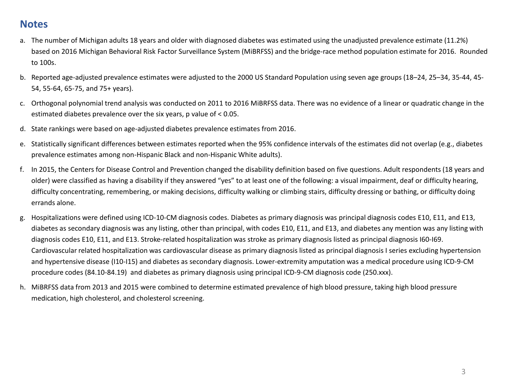#### **Notes**

- a. The number of Michigan adults 18 years and older with diagnosed diabetes was estimated using the unadjusted prevalence estimate (11.2%) based on 2016 Michigan Behavioral Risk Factor Surveillance System (MiBRFSS) and the bridge-race method population estimate for 2016. Rounded to 100s.
- b. Reported age-adjusted prevalence estimates were adjusted to the 2000 US Standard Population using seven age groups (18–24, 25–34, 35-44, 45- 54, 55-64, 65-75, and 75+ years).
- c. Orthogonal polynomial trend analysis was conducted on 2011 to 2016 MiBRFSS data. There was no evidence of a linear or quadratic change in the estimated diabetes prevalence over the six years, p value of < 0.05.
- d. State rankings were based on age-adjusted diabetes prevalence estimates from 2016.
- e. Statistically significant differences between estimates reported when the 95% confidence intervals of the estimates did not overlap (e.g., diabetes prevalence estimates among non-Hispanic Black and non-Hispanic White adults).
- f. In 2015, the Centers for Disease Control and Prevention changed the disability definition based on five questions. Adult respondents (18 years and older) were classified as having a disability if they answered "yes" to at least one of the following: a visual impairment, deaf or difficulty hearing, difficulty concentrating, remembering, or making decisions, difficulty walking or climbing stairs, difficulty dressing or bathing, or difficulty doing errands alone.
- g. Hospitalizations were defined using ICD-10-CM diagnosis codes. Diabetes as primary diagnosis was principal diagnosis codes E10, E11, and E13, diabetes as secondary diagnosis was any listing, other than principal, with codes E10, E11, and E13, and diabetes any mention was any listing with diagnosis codes E10, E11, and E13. Stroke-related hospitalization was stroke as primary diagnosis listed as principal diagnosis I60-I69. Cardiovascular related hospitalization was cardiovascular disease as primary diagnosis listed as principal diagnosis I series excluding hypertension and hypertensive disease (I10-I15) and diabetes as secondary diagnosis. Lower-extremity amputation was a medical procedure using ICD-9-CM procedure codes (84.10-84.19) and diabetes as primary diagnosis using principal ICD-9-CM diagnosis code (250.xxx).
- h. MiBRFSS data from 2013 and 2015 were combined to determine estimated prevalence of high blood pressure, taking high blood pressure medication, high cholesterol, and cholesterol screening.